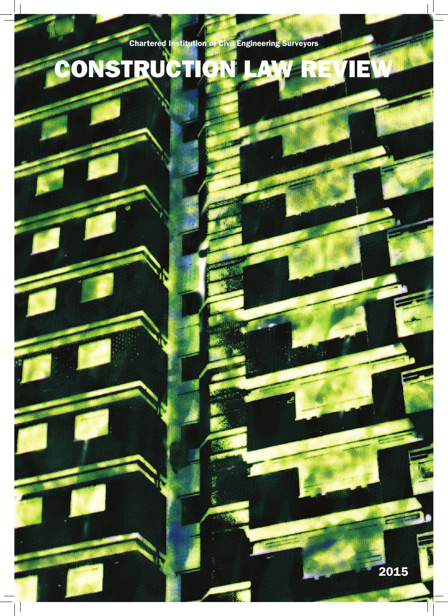Chartered Institution of Civil Engineering Surveyors

# CONSTRUCTION LAW REVIEW

2015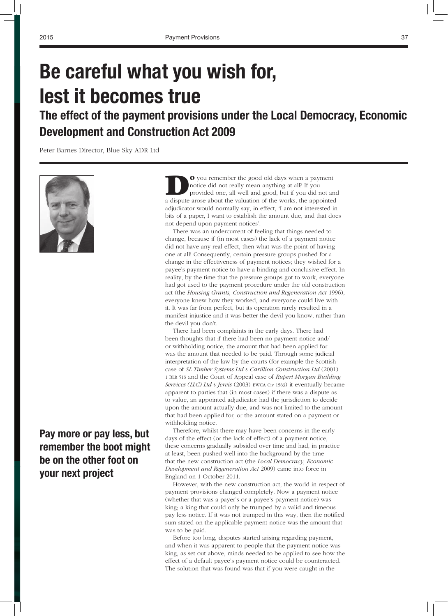## **Be careful what you wish for, lest it becomes true**

### **The effect of the payment provisions under the Local Democracy, Economic Development and Construction Act 2009**

Peter Barnes Director, Blue Sky ADR Ltd



#### **Pay more or pay less, but remember the boot might be on the other foot on your next project**

DO you remember the good old days when a payment notice did not really mean anything at all? If you provided one, all well and good, but if you did not and a dispute arose about the valuation of the works, the appointed adjudicator would normally say, in effect, 'I am not interested in bits of a paper, I want to establish the amount due, and that does not depend upon payment notices'.

There was an undercurrent of feeling that things needed to change, because if (in most cases) the lack of a payment notice did not have any real effect, then what was the point of having one at all! Consequently, certain pressure groups pushed for a change in the effectiveness of payment notices; they wished for a payee's payment notice to have a binding and conclusive effect. In reality, by the time that the pressure groups got to work, everyone had got used to the payment procedure under the old construction act (the *Housing Grants, Construction and Regeneration Act* 1996), everyone knew how they worked, and everyone could live with it. It was far from perfect, but its operation rarely resulted in a manifest injustice and it was better the devil you know, rather than the devil you don't.

There had been complaints in the early days. There had been thoughts that if there had been no payment notice and/ or withholding notice, the amount that had been applied for was the amount that needed to be paid. Through some judicial interpretation of the law by the courts (for example the Scottish case of *SL Timber Systems Ltd v Carillion Construction Ltd* (2001) 1 BLR 516 and the Court of Appeal case of *Rupert Morgan Building Services (LLC) Ltd v Jervis* (2003) EWCA Civ 1563) it eventually became apparent to parties that (in most cases) if there was a dispute as to value, an appointed adjudicator had the jurisdiction to decide upon the amount actually due, and was not limited to the amount that had been applied for, or the amount stated on a payment or withholding notice.

Therefore, whilst there may have been concerns in the early days of the effect (or the lack of effect) of a payment notice, these concerns gradually subsided over time and had, in practice at least, been pushed well into the background by the time that the new construction act (the *Local Democracy, Economic Development and Regeneration Act* 2009) came into force in England on 1 October 2011.

However, with the new construction act, the world in respect of payment provisions changed completely. Now a payment notice (whether that was a payer's or a payee's payment notice) was king; a king that could only be trumped by a valid and timeous pay less notice. If it was not trumped in this way, then the notified sum stated on the applicable payment notice was the amount that was to be paid.

Before too long, disputes started arising regarding payment, and when it was apparent to people that the payment notice was king, as set out above, minds needed to be applied to see how the effect of a default payee's payment notice could be counteracted. The solution that was found was that if you were caught in the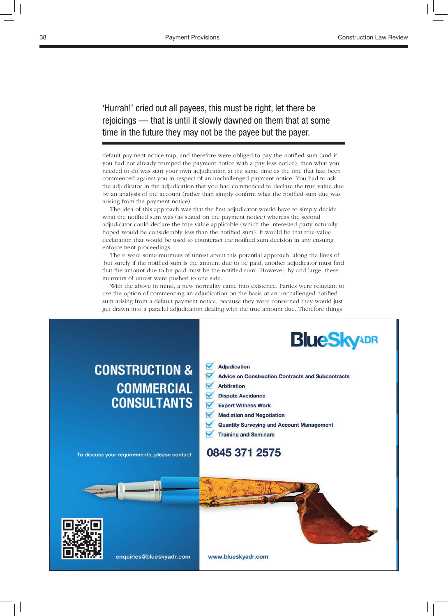'Hurrah!' cried out all payees, this must be right, let there be rejoicings — that is until it slowly dawned on them that at some time in the future they may not be the payee but the payer.

default payment notice trap, and therefore were obliged to pay the notified sum (and if you had not already trumped the payment notice with a pay less notice), then what you needed to do was start your own adjudication at the same time as the one that had been commenced against you in respect of an unchallenged payment notice. You had to ask the adjudicator in the adjudication that you had commenced to declare the true value due by an analysis of the account (rather than simply confirm what the notified sum due was arising from the payment notice).

The idea of this approach was that the first adjudicator would have to simply decide what the notified sum was (as stated on the payment notice) whereas the second adjudicator could declare the true value applicable (which the interested party naturally hoped would be considerably less than the notified sum). It would be that true value declaration that would be used to counteract the notified sum decision in any ensuing enforcement proceedings.

There were some murmurs of unrest about this potential approach, along the lines of 'but surely if the notified sum is the amount due to be paid, another adjudicator must find that the amount due to be paid must be the notified sum'. However, by and large, these murmurs of unrest were pushed to one side.

With the above in mind, a new normality came into existence. Parties were reluctant to use the option of commencing an adjudication on the basis of an unchallenged notified sum arising from a default payment notice, because they were concerned they would just get drawn into a parallel adjudication dealing with the true amount due. Therefore things